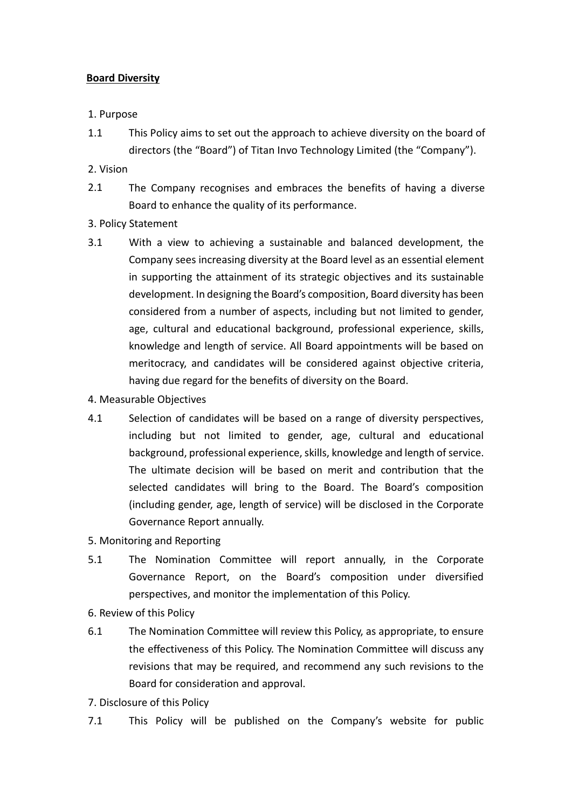## **Board Diversity**

## 1. Purpose

- 1.1 This Policy aims to set out the approach to achieve diversity on the board of directors (the "Board") of Titan Invo Technology Limited (the "Company").
- 2. Vision
- 2.1 The Company recognises and embraces the benefits of having a diverse Board to enhance the quality of its performance.
- 3. Policy Statement
- 3.1 With a view to achieving a sustainable and balanced development, the Company sees increasing diversity at the Board level as an essential element in supporting the attainment of its strategic objectives and its sustainable development. In designing the Board's composition, Board diversity has been considered from a number of aspects, including but not limited to gender, age, cultural and educational background, professional experience, skills, knowledge and length of service. All Board appointments will be based on meritocracy, and candidates will be considered against objective criteria, having due regard for the benefits of diversity on the Board.
- 4. Measurable Objectives
- 4.1 Selection of candidates will be based on a range of diversity perspectives, including but not limited to gender, age, cultural and educational background, professional experience, skills, knowledge and length of service. The ultimate decision will be based on merit and contribution that the selected candidates will bring to the Board. The Board's composition (including gender, age, length of service) will be disclosed in the Corporate Governance Report annually.
- 5. Monitoring and Reporting
- 5.1 The Nomination Committee will report annually, in the Corporate Governance Report, on the Board's composition under diversified perspectives, and monitor the implementation of this Policy.
- 6. Review of this Policy
- 6.1 The Nomination Committee will review this Policy, as appropriate, to ensure the effectiveness of this Policy. The Nomination Committee will discuss any revisions that may be required, and recommend any such revisions to the Board for consideration and approval.
- 7. Disclosure of this Policy
- 7.1 This Policy will be published on the Company's website for public